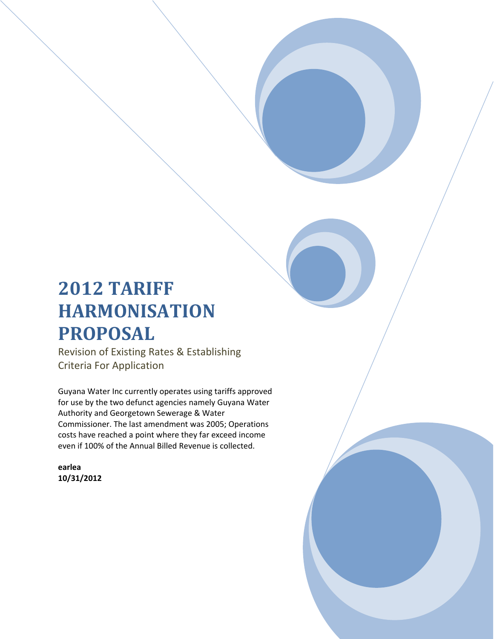# **2012 TARIFF HARMONISATION PROPOSAL**

Revision of Existing Rates & Establishing Criteria For Application

Guyana Water Inc currently operates using tariffs approved for use by the two defunct agencies namely Guyana Water Authority and Georgetown Sewerage & Water Commissioner. The last amendment was 2005; Operations costs have reached a point where they far exceed income even if 100% of the Annual Billed Revenue is collected.

**earlea 10/31/2012**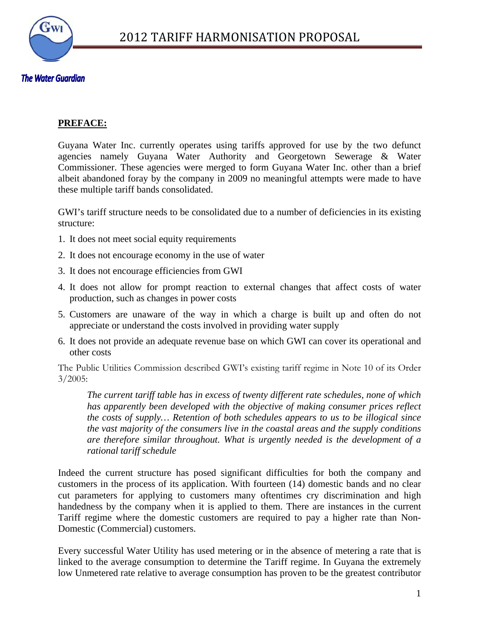

### **The Water Guardian**

### **PREFACE:**

Guyana Water Inc. currently operates using tariffs approved for use by the two defunct agencies namely Guyana Water Authority and Georgetown Sewerage & Water Commissioner. These agencies were merged to form Guyana Water Inc. other than a brief albeit abandoned foray by the company in 2009 no meaningful attempts were made to have these multiple tariff bands consolidated.

GWI's tariff structure needs to be consolidated due to a number of deficiencies in its existing structure:

- 1. It does not meet social equity requirements
- 2. It does not encourage economy in the use of water
- 3. It does not encourage efficiencies from GWI
- 4. It does not allow for prompt reaction to external changes that affect costs of water production, such as changes in power costs
- 5. Customers are unaware of the way in which a charge is built up and often do not appreciate or understand the costs involved in providing water supply
- 6. It does not provide an adequate revenue base on which GWI can cover its operational and other costs

The Public Utilities Commission described GWI's existing tariff regime in Note 10 of its Order 3/2005:

*The current tariff table has in excess of twenty different rate schedules, none of which*  has apparently been developed with the objective of making consumer prices reflect *the costs of supply… Retention of both schedules appears to us to be illogical since the vast majority of the consumers live in the coastal areas and the supply conditions are therefore similar throughout. What is urgently needed is the development of a rational tariff schedule* 

Indeed the current structure has posed significant difficulties for both the company and customers in the process of its application. With fourteen (14) domestic bands and no clear cut parameters for applying to customers many oftentimes cry discrimination and high handedness by the company when it is applied to them. There are instances in the current Tariff regime where the domestic customers are required to pay a higher rate than Non-Domestic (Commercial) customers.

Every successful Water Utility has used metering or in the absence of metering a rate that is linked to the average consumption to determine the Tariff regime. In Guyana the extremely low Unmetered rate relative to average consumption has proven to be the greatest contributor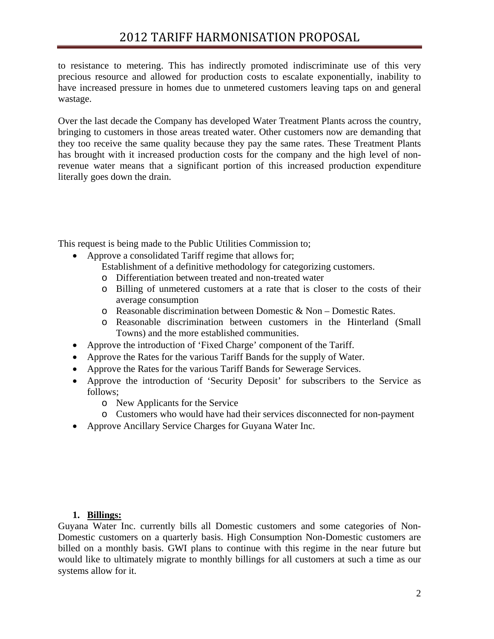to resistance to metering. This has indirectly promoted indiscriminate use of this very precious resource and allowed for production costs to escalate exponentially, inability to have increased pressure in homes due to unmetered customers leaving taps on and general wastage.

Over the last decade the Company has developed Water Treatment Plants across the country, bringing to customers in those areas treated water. Other customers now are demanding that they too receive the same quality because they pay the same rates. These Treatment Plants has brought with it increased production costs for the company and the high level of nonrevenue water means that a significant portion of this increased production expenditure literally goes down the drain.

This request is being made to the Public Utilities Commission to;

• Approve a consolidated Tariff regime that allows for;

Establishment of a definitive methodology for categorizing customers.

- o Differentiation between treated and non-treated water
- o Billing of unmetered customers at a rate that is closer to the costs of their average consumption
- o Reasonable discrimination between Domestic & Non Domestic Rates.
- o Reasonable discrimination between customers in the Hinterland (Small Towns) and the more established communities.
- Approve the introduction of 'Fixed Charge' component of the Tariff.
- Approve the Rates for the various Tariff Bands for the supply of Water.
- Approve the Rates for the various Tariff Bands for Sewerage Services.
- Approve the introduction of 'Security Deposit' for subscribers to the Service as follows;
	- o New Applicants for the Service
	- o Customers who would have had their services disconnected for non-payment
- Approve Ancillary Service Charges for Guyana Water Inc.

### **1. Billings:**

Guyana Water Inc. currently bills all Domestic customers and some categories of Non-Domestic customers on a quarterly basis. High Consumption Non-Domestic customers are billed on a monthly basis. GWI plans to continue with this regime in the near future but would like to ultimately migrate to monthly billings for all customers at such a time as our systems allow for it.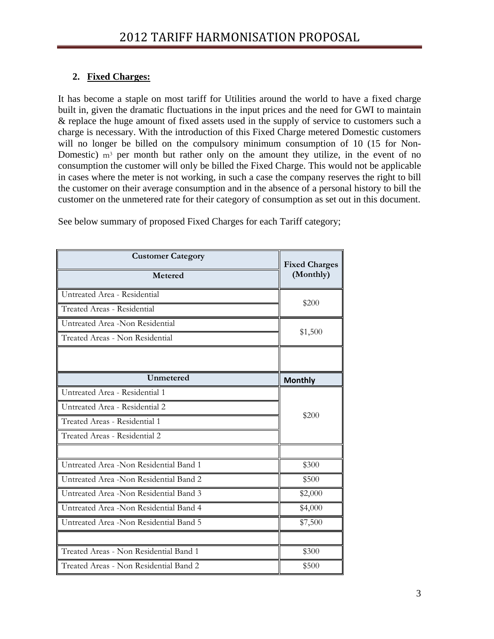### **2. Fixed Charges:**

It has become a staple on most tariff for Utilities around the world to have a fixed charge built in, given the dramatic fluctuations in the input prices and the need for GWI to maintain & replace the huge amount of fixed assets used in the supply of service to customers such a charge is necessary. With the introduction of this Fixed Charge metered Domestic customers will no longer be billed on the compulsory minimum consumption of 10 (15 for Non-Domestic)  $m<sup>3</sup>$  per month but rather only on the amount they utilize, in the event of no consumption the customer will only be billed the Fixed Charge. This would not be applicable in cases where the meter is not working, in such a case the company reserves the right to bill the customer on their average consumption and in the absence of a personal history to bill the customer on the unmetered rate for their category of consumption as set out in this document.

| <b>Customer Category</b>               | <b>Fixed Charges</b> |  |  |  |
|----------------------------------------|----------------------|--|--|--|
| <b>Metered</b>                         | (Monthly)            |  |  |  |
| Untreated Area - Residential           |                      |  |  |  |
| Treated Areas - Residential            | \$200                |  |  |  |
| Untreated Area -Non Residential        |                      |  |  |  |
| Treated Areas - Non Residential        | \$1,500              |  |  |  |
|                                        |                      |  |  |  |
| Unmetered                              | <b>Monthly</b>       |  |  |  |
| Untreated Area - Residential 1         |                      |  |  |  |
| Untreated Area - Residential 2         | \$200                |  |  |  |
| Treated Areas - Residential 1          |                      |  |  |  |
| Treated Areas - Residential 2          |                      |  |  |  |
|                                        |                      |  |  |  |
| Untreated Area -Non Residential Band 1 | \$300                |  |  |  |
| Untreated Area -Non Residential Band 2 | \$500                |  |  |  |
| Untreated Area -Non Residential Band 3 | \$2,000              |  |  |  |
| Untreated Area -Non Residential Band 4 | \$4,000              |  |  |  |
| Untreated Area -Non Residential Band 5 | \$7,500              |  |  |  |
|                                        |                      |  |  |  |
| Treated Areas - Non Residential Band 1 | \$300                |  |  |  |
| Treated Areas - Non Residential Band 2 | \$500                |  |  |  |

See below summary of proposed Fixed Charges for each Tariff category;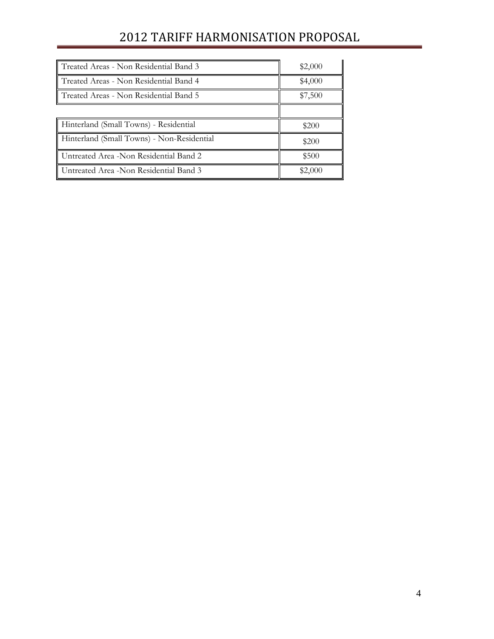# 2012 TARIFF HARMONISATION PROPOSAL

| Treated Areas - Non Residential Band 3     | \$2,000 |
|--------------------------------------------|---------|
| Treated Areas - Non Residential Band 4     | \$4,000 |
| Treated Areas - Non Residential Band 5     | \$7,500 |
|                                            |         |
| Hinterland (Small Towns) - Residential     | \$200   |
| Hinterland (Small Towns) - Non-Residential | \$200   |
| Untreated Area -Non Residential Band 2     | \$500   |
| Untreated Area -Non Residential Band 3     | \$2,000 |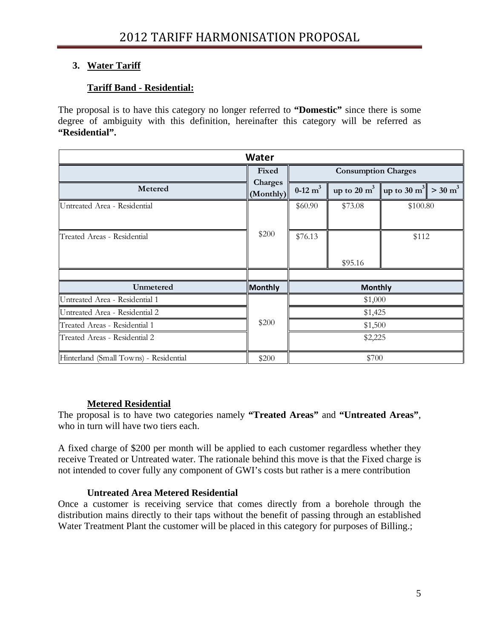### **3. Water Tariff**

### **Tariff Band - Residential:**

The proposal is to have this category no longer referred to **"Domestic"** since there is some degree of ambiguity with this definition, hereinafter this category will be referred as **"Residential".** 

| <b>Water</b>                           |                      |                    |                                                                         |          |  |  |
|----------------------------------------|----------------------|--------------------|-------------------------------------------------------------------------|----------|--|--|
|                                        | Fixed                |                    | <b>Consumption Charges</b>                                              |          |  |  |
| Metered                                | Charges<br>(Monthly) | $0-12 \text{ m}^3$ | up to 20 m <sup>3</sup>   up to 30 m <sup>3</sup>   > 30 m <sup>3</sup> |          |  |  |
| Untreated Area - Residential           |                      | \$60.90            | \$73.08                                                                 | \$100.80 |  |  |
| Treated Areas - Residential            | \$200                | \$76.13            | \$95.16                                                                 | \$112    |  |  |
|                                        |                      |                    |                                                                         |          |  |  |
| Unmetered                              | Monthly              |                    | <b>Monthly</b>                                                          |          |  |  |
| Untreated Area - Residential 1         |                      | \$1,000            |                                                                         |          |  |  |
| Untreated Area - Residential 2         |                      | \$1,425            |                                                                         |          |  |  |
| Treated Areas - Residential 1          | \$200                | \$1,500            |                                                                         |          |  |  |
| Treated Areas - Residential 2          |                      |                    | \$2,225                                                                 |          |  |  |
| Hinterland (Small Towns) - Residential | \$200                |                    | \$700                                                                   |          |  |  |

### **Metered Residential**

The proposal is to have two categories namely **"Treated Areas"** and **"Untreated Areas"**, who in turn will have two tiers each.

A fixed charge of \$200 per month will be applied to each customer regardless whether they receive Treated or Untreated water. The rationale behind this move is that the Fixed charge is not intended to cover fully any component of GWI's costs but rather is a mere contribution

### **Untreated Area Metered Residential**

Once a customer is receiving service that comes directly from a borehole through the distribution mains directly to their taps without the benefit of passing through an established Water Treatment Plant the customer will be placed in this category for purposes of Billing.;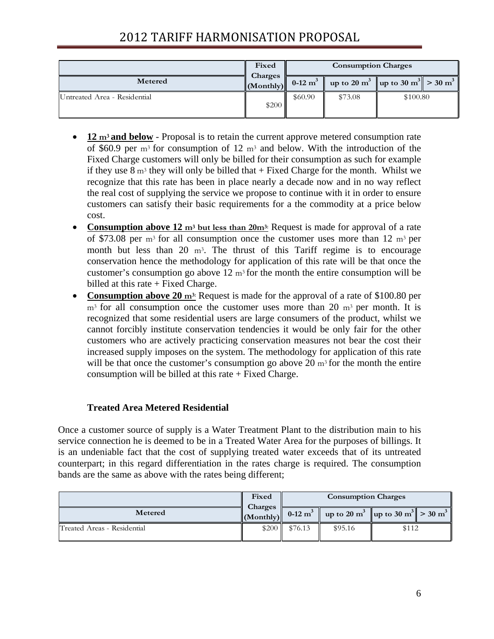# 2012 TARIFF HARMONISATION PROPOSAL

|                              | Fixed                          | <b>Consumption Charges</b> |         |                                                                         |
|------------------------------|--------------------------------|----------------------------|---------|-------------------------------------------------------------------------|
| Metered                      | Charges<br>$\ $ (Monthly) $\ $ | $0-12 \text{ m}^3$         |         | up to 20 m <sup>3</sup>   up to 30 m <sup>3</sup>   > 30 m <sup>3</sup> |
| Untreated Area - Residential | \$200                          | \$60.90                    | \$73.08 | \$100.80                                                                |

- **12 m3 and below** Proposal is to retain the current approve metered consumption rate of \$60.9 per  $m<sup>3</sup>$  for consumption of 12  $m<sup>3</sup>$  and below. With the introduction of the Fixed Charge customers will only be billed for their consumption as such for example if they use  $8 \text{ m}^3$  they will only be billed that + Fixed Charge for the month. Whilst we recognize that this rate has been in place nearly a decade now and in no way reflect the real cost of supplying the service we propose to continue with it in order to ensure customers can satisfy their basic requirements for a the commodity at a price below cost.
- **Consumption above 12** m<sup>3</sup> but less than 20m<sup>3</sup>: Request is made for approval of a rate of \$73.08 per  $m<sup>3</sup>$  for all consumption once the customer uses more than 12  $m<sup>3</sup>$  per month but less than 20  $m<sup>3</sup>$ . The thrust of this Tariff regime is to encourage conservation hence the methodology for application of this rate will be that once the customer's consumption go above  $12 \text{ m}^3$  for the month the entire consumption will be billed at this rate + Fixed Charge.
- **Consumption above 20** m<sup>3:</sup> Request is made for the approval of a rate of \$100.80 per  $m<sup>3</sup>$  for all consumption once the customer uses more than 20  $m<sup>3</sup>$  per month. It is recognized that some residential users are large consumers of the product, whilst we cannot forcibly institute conservation tendencies it would be only fair for the other customers who are actively practicing conservation measures not bear the cost their increased supply imposes on the system. The methodology for application of this rate will be that once the customer's consumption go above 20  $m<sup>3</sup>$  for the month the entire consumption will be billed at this rate  $+$  Fixed Charge.

### **Treated Area Metered Residential**

Once a customer source of supply is a Water Treatment Plant to the distribution main to his service connection he is deemed to be in a Treated Water Area for the purposes of billings. It is an undeniable fact that the cost of supplying treated water exceeds that of its untreated counterpart; in this regard differentiation in the rates charge is required. The consumption bands are the same as above with the rates being different;

|                             | Fixed                                |                                                            | <b>Consumption Charges</b>                                                |       |  |
|-----------------------------|--------------------------------------|------------------------------------------------------------|---------------------------------------------------------------------------|-------|--|
| Metered                     | Charges<br>$\vert$ (Monthly) $\vert$ | $\begin{array}{ c c c c c } \hline 0-12 & m^3 \end{array}$ | up to 20 m <sup>3</sup>   up to 30 m <sup>3</sup>   $>$ 30 m <sup>3</sup> |       |  |
| Treated Areas - Residential | \$200                                | \$76.13                                                    | \$95.16                                                                   | \$112 |  |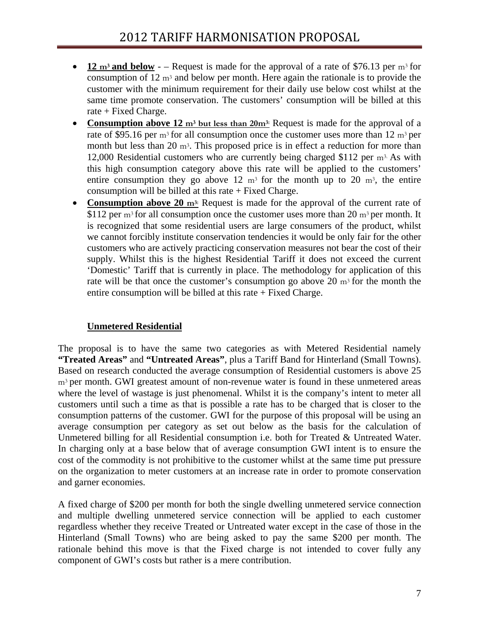- 12  $\text{m}^3$  and below – Request is made for the approval of a rate of \$76.13 per  $\text{m}^3$  for consumption of 12  $\text{m}^3$  and below per month. Here again the rationale is to provide the customer with the minimum requirement for their daily use below cost whilst at the same time promote conservation. The customers' consumption will be billed at this rate + Fixed Charge.
- **Consumption above 12** m<sup>3</sup> but less than 20m<sup>3:</sup> Request is made for the approval of a rate of \$95.16 per  $m^3$  for all consumption once the customer uses more than 12  $m^3$  per month but less than 20  $m<sup>3</sup>$ . This proposed price is in effect a reduction for more than 12,000 Residential customers who are currently being charged \$112 per m3. As with this high consumption category above this rate will be applied to the customers' entire consumption they go above 12  $m<sup>3</sup>$  for the month up to 20  $m<sup>3</sup>$ , the entire consumption will be billed at this rate  $+$  Fixed Charge.
- **Consumption above 20 m<sup>3:</sup>** Request is made for the approval of the current rate of \$112 per  $m^3$  for all consumption once the customer uses more than 20  $m^3$  per month. It is recognized that some residential users are large consumers of the product, whilst we cannot forcibly institute conservation tendencies it would be only fair for the other customers who are actively practicing conservation measures not bear the cost of their supply. Whilst this is the highest Residential Tariff it does not exceed the current 'Domestic' Tariff that is currently in place. The methodology for application of this rate will be that once the customer's consumption go above  $20 \text{ m}^3$  for the month the entire consumption will be billed at this rate  $+$  Fixed Charge.

### **Unmetered Residential**

The proposal is to have the same two categories as with Metered Residential namely **"Treated Areas"** and **"Untreated Areas"**, plus a Tariff Band for Hinterland (Small Towns). Based on research conducted the average consumption of Residential customers is above 25 m<sup>3</sup> per month. GWI greatest amount of non-revenue water is found in these unmetered areas where the level of wastage is just phenomenal. Whilst it is the company's intent to meter all customers until such a time as that is possible a rate has to be charged that is closer to the consumption patterns of the customer. GWI for the purpose of this proposal will be using an average consumption per category as set out below as the basis for the calculation of Unmetered billing for all Residential consumption i.e. both for Treated & Untreated Water. In charging only at a base below that of average consumption GWI intent is to ensure the cost of the commodity is not prohibitive to the customer whilst at the same time put pressure on the organization to meter customers at an increase rate in order to promote conservation and garner economies.

A fixed charge of \$200 per month for both the single dwelling unmetered service connection and multiple dwelling unmetered service connection will be applied to each customer regardless whether they receive Treated or Untreated water except in the case of those in the Hinterland (Small Towns) who are being asked to pay the same \$200 per month. The rationale behind this move is that the Fixed charge is not intended to cover fully any component of GWI's costs but rather is a mere contribution.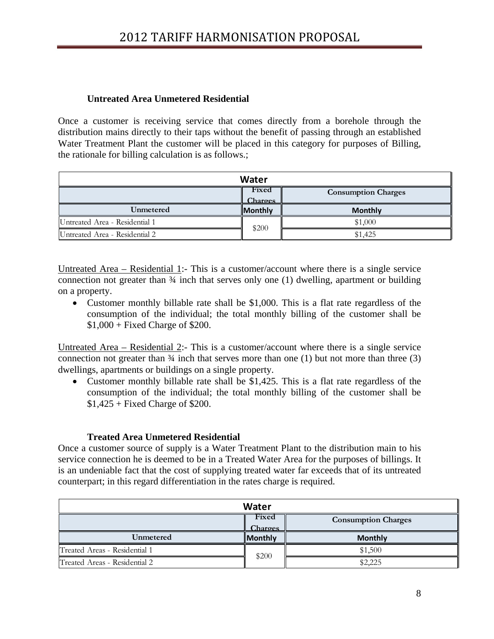### **Untreated Area Unmetered Residential**

Once a customer is receiving service that comes directly from a borehole through the distribution mains directly to their taps without the benefit of passing through an established Water Treatment Plant the customer will be placed in this category for purposes of Billing, the rationale for billing calculation is as follows.;

| Water                                                 |                |                |  |  |  |  |
|-------------------------------------------------------|----------------|----------------|--|--|--|--|
| Fixed<br><b>Consumption Charges</b><br><b>Charges</b> |                |                |  |  |  |  |
| Unmetered                                             | <b>Monthly</b> | <b>Monthly</b> |  |  |  |  |
| Untreated Area - Residential 1                        |                | \$1,000        |  |  |  |  |
| Untreated Area - Residential 2                        | \$200          | \$1,425        |  |  |  |  |

Untreated Area – Residential 1:- This is a customer/account where there is a single service connection not greater than  $\frac{3}{4}$  inch that serves only one (1) dwelling, apartment or building on a property.

• Customer monthly billable rate shall be \$1,000. This is a flat rate regardless of the consumption of the individual; the total monthly billing of the customer shall be \$1,000 + Fixed Charge of \$200.

Untreated Area – Residential 2:- This is a customer/account where there is a single service connection not greater than  $\frac{3}{4}$  inch that serves more than one (1) but not more than three (3) dwellings, apartments or buildings on a single property.

• Customer monthly billable rate shall be \$1,425. This is a flat rate regardless of the consumption of the individual; the total monthly billing of the customer shall be  $$1,425 + Fixed Charge of $200.$ 

### **Treated Area Unmetered Residential**

Once a customer source of supply is a Water Treatment Plant to the distribution main to his service connection he is deemed to be in a Treated Water Area for the purposes of billings. It is an undeniable fact that the cost of supplying treated water far exceeds that of its untreated counterpart; in this regard differentiation in the rates charge is required.

| Water                         |                         |                            |  |  |  |
|-------------------------------|-------------------------|----------------------------|--|--|--|
|                               | Fixed<br><b>Charges</b> | <b>Consumption Charges</b> |  |  |  |
| Unmetered                     | <b>Monthly</b>          | <b>Monthly</b>             |  |  |  |
| Treated Areas - Residential 1 | \$200                   | \$1,500                    |  |  |  |
| Treated Areas - Residential 2 |                         | \$2,225                    |  |  |  |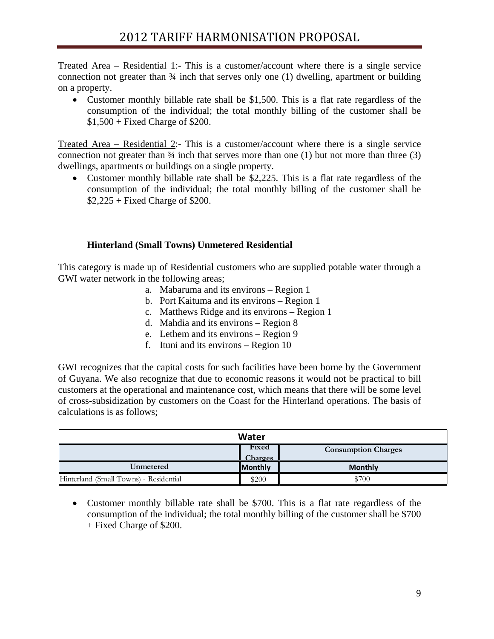Treated Area – Residential 1:- This is a customer/account where there is a single service connection not greater than ¾ inch that serves only one (1) dwelling, apartment or building on a property.

• Customer monthly billable rate shall be \$1,500. This is a flat rate regardless of the consumption of the individual; the total monthly billing of the customer shall be \$1,500 + Fixed Charge of \$200.

Treated Area – Residential 2:- This is a customer/account where there is a single service connection not greater than  $\frac{3}{4}$  inch that serves more than one (1) but not more than three (3) dwellings, apartments or buildings on a single property.

• Customer monthly billable rate shall be \$2.225. This is a flat rate regardless of the consumption of the individual; the total monthly billing of the customer shall be  $$2,225 + Fixed Charge of $200.$ 

### **Hinterland (Small Towns) Unmetered Residential**

This category is made up of Residential customers who are supplied potable water through a GWI water network in the following areas;

- a. Mabaruma and its environs Region 1
- b. Port Kaituma and its environs Region 1
- c. Matthews Ridge and its environs Region 1
- d. Mahdia and its environs Region 8
- e. Lethem and its environs Region 9
- f. Ituni and its environs Region 10

GWI recognizes that the capital costs for such facilities have been borne by the Government of Guyana. We also recognize that due to economic reasons it would not be practical to bill customers at the operational and maintenance cost, which means that there will be some level of cross-subsidization by customers on the Coast for the Hinterland operations. The basis of calculations is as follows;

| Water                                  |                         |                            |  |  |  |  |
|----------------------------------------|-------------------------|----------------------------|--|--|--|--|
|                                        | Fixed<br><b>Charges</b> | <b>Consumption Charges</b> |  |  |  |  |
| Unmetered                              | <b>Monthly</b>          | <b>Monthly</b>             |  |  |  |  |
| Hinterland (Small Towns) - Residential | \$200                   | \$700                      |  |  |  |  |

• Customer monthly billable rate shall be \$700. This is a flat rate regardless of the consumption of the individual; the total monthly billing of the customer shall be \$700 + Fixed Charge of \$200.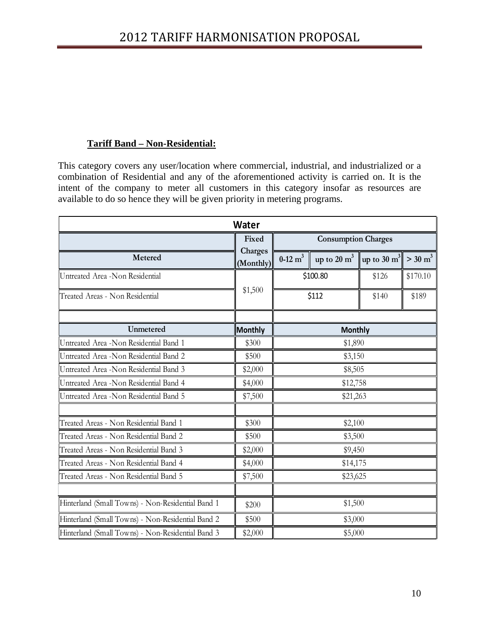### **Tariff Band – Non-Residential:**

This category covers any user/location where commercial, industrial, and industrialized or a combination of Residential and any of the aforementioned activity is carried on. It is the intent of the company to meter all customers in this category insofar as resources are available to do so hence they will be given priority in metering programs.

| <b>Water</b>                                      |                      |                                              |                |                |                       |  |  |
|---------------------------------------------------|----------------------|----------------------------------------------|----------------|----------------|-----------------------|--|--|
| Fixed                                             |                      | <b>Consumption Charges</b>                   |                |                |                       |  |  |
| Metered                                           | Charges<br>(Monthly) | $0-12 \text{ m}^3$<br>up to $20 \text{ m}^3$ |                | up to 30 $m^3$ | $>$ 30 m <sup>3</sup> |  |  |
| Untreated Area -Non Residential                   |                      | \$100.80                                     |                | \$126          | \$170.10              |  |  |
| Treated Areas - Non Residential                   | \$1,500              |                                              | \$112          | \$140          | \$189                 |  |  |
| Unmetered                                         | <b>Monthly</b>       |                                              | <b>Monthly</b> |                |                       |  |  |
| Untreated Area -Non Residential Band 1            | \$300                | \$1,890                                      |                |                |                       |  |  |
| Untreated Area -Non Residential Band 2            | \$500                | \$3,150                                      |                |                |                       |  |  |
| Untreated Area - Non Residential Band 3           | \$2,000              | \$8,505                                      |                |                |                       |  |  |
| Untreated Area -Non Residential Band 4            | \$4,000              | \$12,758                                     |                |                |                       |  |  |
| Untreated Area -Non Residential Band 5            | \$7,500              | \$21,263                                     |                |                |                       |  |  |
| Treated Areas - Non Residential Band 1            | \$300                | \$2,100                                      |                |                |                       |  |  |
| Treated Areas - Non Residential Band 2            | \$500                |                                              | \$3,500        |                |                       |  |  |
| Treated Areas - Non Residential Band 3            | \$2,000              |                                              | \$9,450        |                |                       |  |  |
| Treated Areas - Non Residential Band 4            | \$4,000              | \$14,175                                     |                |                |                       |  |  |
| Treated Areas - Non Residential Band 5            | \$7,500              | \$23,625                                     |                |                |                       |  |  |
| Hinterland (Small Towns) - Non-Residential Band 1 | \$200                |                                              | \$1,500        |                |                       |  |  |
| Hinterland (Small Towns) - Non-Residential Band 2 | \$500                |                                              | \$3,000        |                |                       |  |  |
| Hinterland (Small Towns) - Non-Residential Band 3 | \$2,000              | \$5,000                                      |                |                |                       |  |  |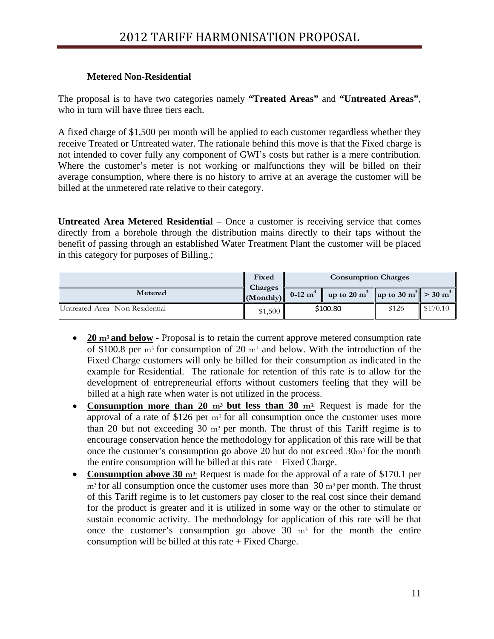### **Metered Non-Residential**

The proposal is to have two categories namely **"Treated Areas"** and **"Untreated Areas"**, who in turn will have three tiers each.

A fixed charge of \$1,500 per month will be applied to each customer regardless whether they receive Treated or Untreated water. The rationale behind this move is that the Fixed charge is not intended to cover fully any component of GWI's costs but rather is a mere contribution. Where the customer's meter is not working or malfunctions they will be billed on their average consumption, where there is no history to arrive at an average the customer will be billed at the unmetered rate relative to their category.

**Untreated Area Metered Residential** – Once a customer is receiving service that comes directly from a borehole through the distribution mains directly to their taps without the benefit of passing through an established Water Treatment Plant the customer will be placed in this category for purposes of Billing.;

|                                  | Fixed              |                    | <b>Consumption Charges</b>                                                |       |          |
|----------------------------------|--------------------|--------------------|---------------------------------------------------------------------------|-------|----------|
| Metered                          | Charges<br>Monthly | $0-12 \text{ m}^3$ | up to 20 m <sup>3</sup>   up to 30 m <sup>3</sup>   $>$ 30 m <sup>3</sup> |       |          |
| Untreated Area - Non Residential | \$1,500            | \$100.80           |                                                                           | \$126 | \$170.10 |

- **20 m3 and below** Proposal is to retain the current approve metered consumption rate of \$100.8 per m3 for consumption of 20 m3 and below. With the introduction of the Fixed Charge customers will only be billed for their consumption as indicated in the example for Residential. The rationale for retention of this rate is to allow for the development of entrepreneurial efforts without customers feeling that they will be billed at a high rate when water is not utilized in the process.
- **Consumption more than 20 m3 but less than 30 m3:** Request is made for the approval of a rate of \$126 per  $m<sup>3</sup>$  for all consumption once the customer uses more than 20 but not exceeding 30  $m<sup>3</sup>$  per month. The thrust of this Tariff regime is to encourage conservation hence the methodology for application of this rate will be that once the customer's consumption go above 20 but do not exceed 30m3 for the month the entire consumption will be billed at this rate  $+$  Fixed Charge.
- **Consumption above 30 m<sup>3:</sup>** Request is made for the approval of a rate of \$170.1 per  $m<sup>3</sup>$  for all consumption once the customer uses more than 30  $m<sup>3</sup>$  per month. The thrust of this Tariff regime is to let customers pay closer to the real cost since their demand for the product is greater and it is utilized in some way or the other to stimulate or sustain economic activity. The methodology for application of this rate will be that once the customer's consumption go above  $30 \text{ m}^3$  for the month the entire consumption will be billed at this rate  $+$  Fixed Charge.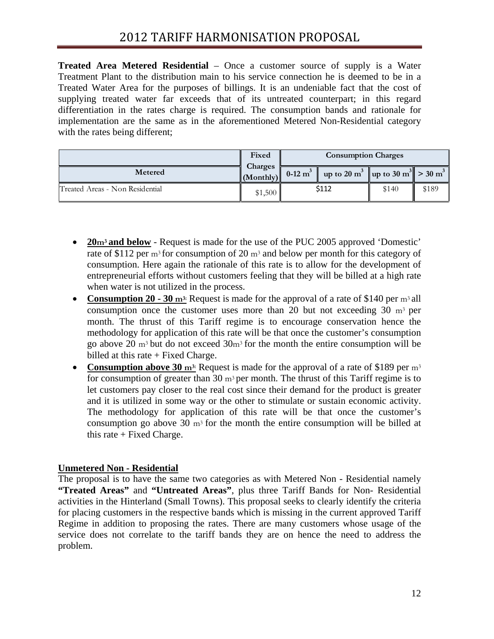**Treated Area Metered Residential** – Once a customer source of supply is a Water Treatment Plant to the distribution main to his service connection he is deemed to be in a Treated Water Area for the purposes of billings. It is an undeniable fact that the cost of supplying treated water far exceeds that of its untreated counterpart; in this regard differentiation in the rates charge is required. The consumption bands and rationale for implementation are the same as in the aforementioned Metered Non-Residential category with the rates being different;

|                                 | Fixed                                |       | <b>Consumption Charges</b>                                                                    |       |       |
|---------------------------------|--------------------------------------|-------|-----------------------------------------------------------------------------------------------|-------|-------|
| Metered                         | Charges<br>$\vert$ (Monthly) $\vert$ |       | 0-12 m <sup>3</sup>   up to 20 m <sup>3</sup>   up to 30 m <sup>3</sup>   > 30 m <sup>3</sup> |       |       |
| Treated Areas - Non Residential | \$1,500                              | \$112 |                                                                                               | \$140 | \$189 |

- **20m3 and below** Request is made for the use of the PUC 2005 approved 'Domestic' rate of \$112 per  $m^3$  for consumption of 20  $m^3$  and below per month for this category of consumption. Here again the rationale of this rate is to allow for the development of entrepreneurial efforts without customers feeling that they will be billed at a high rate when water is not utilized in the process.
- **Consumption 20 30** m<sup>3:</sup> Request is made for the approval of a rate of \$140 per m<sup>3</sup> all consumption once the customer uses more than 20 but not exceeding  $30 \text{ m}^3$  per month. The thrust of this Tariff regime is to encourage conservation hence the methodology for application of this rate will be that once the customer's consumption go above 20  $\text{m}^3$  but do not exceed  $30\text{m}^3$  for the month the entire consumption will be billed at this rate + Fixed Charge.
- **Consumption above 30 m<sup>3:</sup>** Request is made for the approval of a rate of \$189 per m<sup>3</sup> for consumption of greater than 30  $m<sup>3</sup>$  per month. The thrust of this Tariff regime is to let customers pay closer to the real cost since their demand for the product is greater and it is utilized in some way or the other to stimulate or sustain economic activity. The methodology for application of this rate will be that once the customer's consumption go above 30  $m<sup>3</sup>$  for the month the entire consumption will be billed at this rate  $+$  Fixed Charge.

### **Unmetered Non - Residential**

The proposal is to have the same two categories as with Metered Non - Residential namely **"Treated Areas"** and **"Untreated Areas"**, plus three Tariff Bands for Non- Residential activities in the Hinterland (Small Towns). This proposal seeks to clearly identify the criteria for placing customers in the respective bands which is missing in the current approved Tariff Regime in addition to proposing the rates. There are many customers whose usage of the service does not correlate to the tariff bands they are on hence the need to address the problem.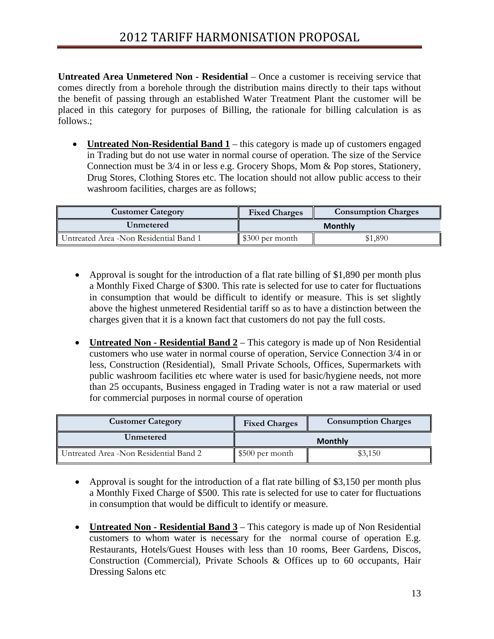**Untreated Area Unmetered Non - Residential** – Once a customer is receiving service that comes directly from a borehole through the distribution mains directly to their taps without the benefit of passing through an established Water Treatment Plant the customer will be placed in this category for purposes of Billing, the rationale for billing calculation is as follows.;

• **Untreated Non-Residential Band 1** – this category is made up of customers engaged in Trading but do not use water in normal course of operation. The size of the Service Connection must be 3/4 in or less e.g. Grocery Shops, Mom & Pop stores, Stationery, Drug Stores, Clothing Stores etc. The location should not allow public access to their washroom facilities, charges are as follows;

| <b>Customer Category</b>               | <b>Consumption Charges</b><br><b>Fixed Charges</b> |         |  |
|----------------------------------------|----------------------------------------------------|---------|--|
| Unmetered                              | <b>Monthly</b>                                     |         |  |
| Untreated Area -Non Residential Band 1 | $\parallel$ \$300 per month                        | \$1,890 |  |

- Approval is sought for the introduction of a flat rate billing of \$1,890 per month plus a Monthly Fixed Charge of \$300. This rate is selected for use to cater for fluctuations in consumption that would be difficult to identify or measure. This is set slightly above the highest unmetered Residential tariff so as to have a distinction between the charges given that it is a known fact that customers do not pay the full costs.
- **Untreated Non Residential Band 2** This category is made up of Non Residential customers who use water in normal course of operation, Service Connection 3/4 in or less, Construction (Residential), Small Private Schools, Offices, Supermarkets with public washroom facilities etc where water is used for basic/hygiene needs, not more than 25 occupants, Business engaged in Trading water is not a raw material or used for commercial purposes in normal course of operation

| <b>Customer Category</b>                | <b>Fixed Charges</b>        | <b>Consumption Charges</b> |
|-----------------------------------------|-----------------------------|----------------------------|
| Unmetered                               |                             | <b>Monthly</b>             |
| Untreated Area - Non Residential Band 2 | $\parallel$ \$500 per month | \$3,150                    |

- Approval is sought for the introduction of a flat rate billing of \$3,150 per month plus a Monthly Fixed Charge of \$500. This rate is selected for use to cater for fluctuations in consumption that would be difficult to identify or measure.
- **Untreated Non Residential Band 3** This category is made up of Non Residential customers to whom water is necessary for the normal course of operation E.g. Restaurants, Hotels/Guest Houses with less than 10 rooms, Beer Gardens, Discos, Construction (Commercial), Private Schools & Offices up to 60 occupants, Hair Dressing Salons etc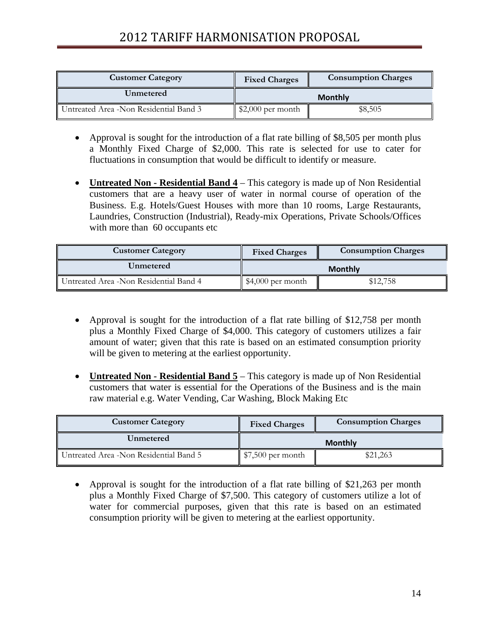# 2012 TARIFF HARMONISATION PROPOSAL

| <b>Customer Category</b>               | <b>Fixed Charges</b>             | <b>Consumption Charges</b> |
|----------------------------------------|----------------------------------|----------------------------|
| Unmetered                              |                                  | <b>Monthly</b>             |
| Untreated Area -Non Residential Band 3 | $\frac{1}{2}$ (\$2,000 per month | \$8,505                    |

- Approval is sought for the introduction of a flat rate billing of \$8,505 per month plus a Monthly Fixed Charge of \$2,000. This rate is selected for use to cater for fluctuations in consumption that would be difficult to identify or measure.
- **Untreated Non Residential Band 4** This category is made up of Non Residential customers that are a heavy user of water in normal course of operation of the Business. E.g. Hotels/Guest Houses with more than 10 rooms, Large Restaurants, Laundries, Construction (Industrial), Ready-mix Operations, Private Schools/Offices with more than 60 occupants etc

| <b>Customer Category</b>               | <b>Fixed Charges</b>          | <b>Consumption Charges</b> |
|----------------------------------------|-------------------------------|----------------------------|
| Unmetered                              |                               | <b>Monthly</b>             |
| Untreated Area -Non Residential Band 4 | $\parallel$ \$4,000 per month | \$12,758                   |

- Approval is sought for the introduction of a flat rate billing of \$12,758 per month plus a Monthly Fixed Charge of \$4,000. This category of customers utilizes a fair amount of water; given that this rate is based on an estimated consumption priority will be given to metering at the earliest opportunity.
- **Untreated Non Residential Band 5** This category is made up of Non Residential customers that water is essential for the Operations of the Business and is the main raw material e.g. Water Vending, Car Washing, Block Making Etc

| <b>Customer Category</b>                | <b>Fixed Charges</b> | <b>Consumption Charges</b> |
|-----------------------------------------|----------------------|----------------------------|
| Unmetered                               |                      | <b>Monthly</b>             |
| Untreated Area - Non Residential Band 5 | $$7,500$ per month   | \$21,263                   |

• Approval is sought for the introduction of a flat rate billing of \$21,263 per month plus a Monthly Fixed Charge of \$7,500. This category of customers utilize a lot of water for commercial purposes, given that this rate is based on an estimated consumption priority will be given to metering at the earliest opportunity.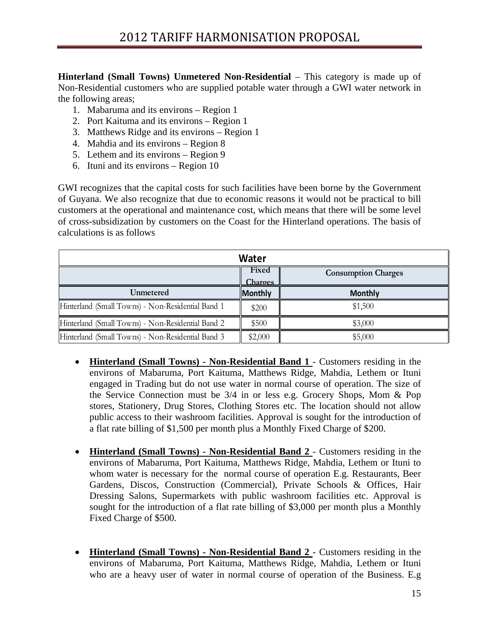**Hinterland (Small Towns) Unmetered Non-Residential** – This category is made up of Non-Residential customers who are supplied potable water through a GWI water network in the following areas;

- 1. Mabaruma and its environs Region 1
- 2. Port Kaituma and its environs Region 1
- 3. Matthews Ridge and its environs Region 1
- 4. Mahdia and its environs Region 8
- 5. Lethem and its environs Region 9
- 6. Ituni and its environs Region 10

GWI recognizes that the capital costs for such facilities have been borne by the Government of Guyana. We also recognize that due to economic reasons it would not be practical to bill customers at the operational and maintenance cost, which means that there will be some level of cross-subsidization by customers on the Coast for the Hinterland operations. The basis of calculations is as follows

| Water                                             |                  |                            |  |
|---------------------------------------------------|------------------|----------------------------|--|
|                                                   | Fixed<br>Charges | <b>Consumption Charges</b> |  |
| Unmetered                                         | <b>Monthly</b>   | <b>Monthly</b>             |  |
| Hinterland (Small Towns) - Non-Residential Band 1 | \$200            | \$1,500                    |  |
| Hinterland (Small Towns) - Non-Residential Band 2 | \$500            | \$3,000                    |  |
| Hinterland (Small Towns) - Non-Residential Band 3 | \$2,000          | \$5,000                    |  |

- **Hinterland (Small Towns)** Non-Residential Band 1 Customers residing in the environs of Mabaruma, Port Kaituma, Matthews Ridge, Mahdia, Lethem or Ituni engaged in Trading but do not use water in normal course of operation. The size of the Service Connection must be 3/4 in or less e.g. Grocery Shops, Mom & Pop stores, Stationery, Drug Stores, Clothing Stores etc. The location should not allow public access to their washroom facilities. Approval is sought for the introduction of a flat rate billing of \$1,500 per month plus a Monthly Fixed Charge of \$200.
- **Hinterland (Small Towns) Non-Residential Band 2**  Customers residing in the environs of Mabaruma, Port Kaituma, Matthews Ridge, Mahdia, Lethem or Ituni to whom water is necessary for the normal course of operation E.g. Restaurants, Beer Gardens, Discos, Construction (Commercial), Private Schools & Offices, Hair Dressing Salons, Supermarkets with public washroom facilities etc. Approval is sought for the introduction of a flat rate billing of \$3,000 per month plus a Monthly Fixed Charge of \$500.
- **Hinterland (Small Towns) Non-Residential Band 2**  Customers residing in the environs of Mabaruma, Port Kaituma, Matthews Ridge, Mahdia, Lethem or Ituni who are a heavy user of water in normal course of operation of the Business. E.g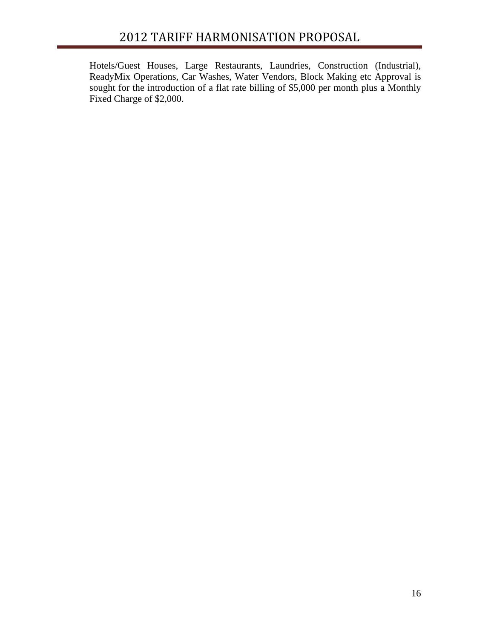# 2012 TARIFF HARMONISATION PROPOSAL

Hotels/Guest Houses, Large Restaurants, Laundries, Construction (Industrial), ReadyMix Operations, Car Washes, Water Vendors, Block Making etc Approval is sought for the introduction of a flat rate billing of \$5,000 per month plus a Monthly Fixed Charge of \$2,000.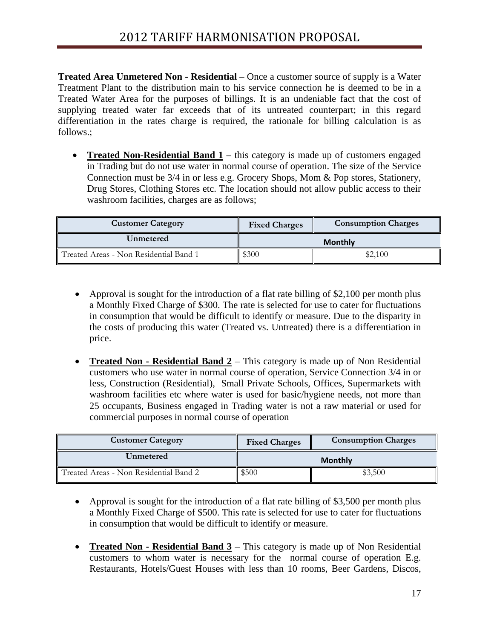**Treated Area Unmetered Non - Residential** – Once a customer source of supply is a Water Treatment Plant to the distribution main to his service connection he is deemed to be in a Treated Water Area for the purposes of billings. It is an undeniable fact that the cost of supplying treated water far exceeds that of its untreated counterpart; in this regard differentiation in the rates charge is required, the rationale for billing calculation is as follows.;

• **Treated Non-Residential Band 1** – this category is made up of customers engaged in Trading but do not use water in normal course of operation. The size of the Service Connection must be 3/4 in or less e.g. Grocery Shops, Mom & Pop stores, Stationery, Drug Stores, Clothing Stores etc. The location should not allow public access to their washroom facilities, charges are as follows;

| <b>Customer Category</b>               | <b>Fixed Charges</b> | <b>Consumption Charges</b> |
|----------------------------------------|----------------------|----------------------------|
| Unmetered                              |                      | <b>Monthly</b>             |
| Treated Areas - Non Residential Band 1 | \$300                | \$2,100                    |

- Approval is sought for the introduction of a flat rate billing of \$2,100 per month plus a Monthly Fixed Charge of \$300. The rate is selected for use to cater for fluctuations in consumption that would be difficult to identify or measure. Due to the disparity in the costs of producing this water (Treated vs. Untreated) there is a differentiation in price.
- **Treated Non Residential Band 2** This category is made up of Non Residential customers who use water in normal course of operation, Service Connection 3/4 in or less, Construction (Residential), Small Private Schools, Offices, Supermarkets with washroom facilities etc where water is used for basic/hygiene needs, not more than 25 occupants, Business engaged in Trading water is not a raw material or used for commercial purposes in normal course of operation

| <b>Customer Category</b>               | <b>Fixed Charges</b> | <b>Consumption Charges</b> |
|----------------------------------------|----------------------|----------------------------|
| Unmetered                              | <b>Monthly</b>       |                            |
| Treated Areas - Non Residential Band 2 | \$500                | \$3,500                    |

- Approval is sought for the introduction of a flat rate billing of \$3,500 per month plus a Monthly Fixed Charge of \$500. This rate is selected for use to cater for fluctuations in consumption that would be difficult to identify or measure.
- **Treated Non Residential Band 3** This category is made up of Non Residential customers to whom water is necessary for the normal course of operation E.g. Restaurants, Hotels/Guest Houses with less than 10 rooms, Beer Gardens, Discos,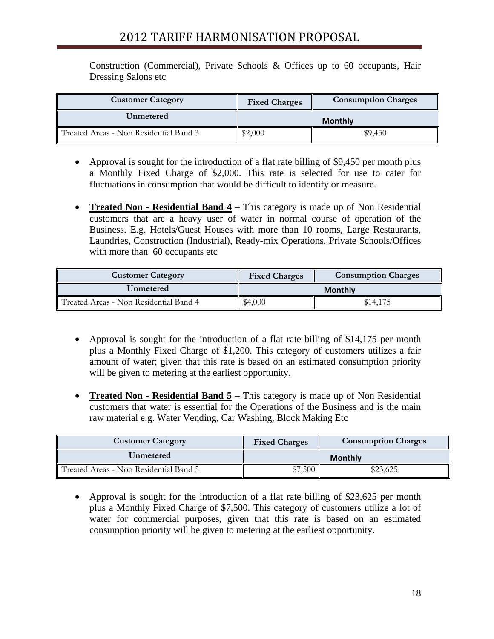# 2012 TARIFF HARMONISATION PROPOSAL

Construction (Commercial), Private Schools & Offices up to 60 occupants, Hair Dressing Salons etc

| <b>Customer Category</b>               | <b>Fixed Charges</b> | <b>Consumption Charges</b> |
|----------------------------------------|----------------------|----------------------------|
| Unmetered                              | <b>Monthly</b>       |                            |
| Treated Areas - Non Residential Band 3 | \$2,000              | \$9,450                    |

- Approval is sought for the introduction of a flat rate billing of \$9,450 per month plus a Monthly Fixed Charge of \$2,000. This rate is selected for use to cater for fluctuations in consumption that would be difficult to identify or measure.
- **Treated Non Residential Band 4** This category is made up of Non Residential customers that are a heavy user of water in normal course of operation of the Business. E.g. Hotels/Guest Houses with more than 10 rooms, Large Restaurants, Laundries, Construction (Industrial), Ready-mix Operations, Private Schools/Offices with more than 60 occupants etc

| <b>Customer Category</b>               | <b>Fixed Charges</b> | <b>Consumption Charges</b> |
|----------------------------------------|----------------------|----------------------------|
| Unmetered                              | <b>Monthly</b>       |                            |
| Treated Areas - Non Residential Band 4 | \$4,000              | \$14,175                   |

- Approval is sought for the introduction of a flat rate billing of \$14,175 per month plus a Monthly Fixed Charge of \$1,200. This category of customers utilizes a fair amount of water; given that this rate is based on an estimated consumption priority will be given to metering at the earliest opportunity.
- **Treated Non Residential Band 5** This category is made up of Non Residential customers that water is essential for the Operations of the Business and is the main raw material e.g. Water Vending, Car Washing, Block Making Etc

| <b>Customer Category</b>               | <b>Fixed Charges</b> | <b>Consumption Charges</b> |  |
|----------------------------------------|----------------------|----------------------------|--|
| Unmetered                              | <b>Monthly</b>       |                            |  |
| Treated Areas - Non Residential Band 5 | \$7,500              | \$23,625                   |  |

• Approval is sought for the introduction of a flat rate billing of \$23,625 per month plus a Monthly Fixed Charge of \$7,500. This category of customers utilize a lot of water for commercial purposes, given that this rate is based on an estimated consumption priority will be given to metering at the earliest opportunity.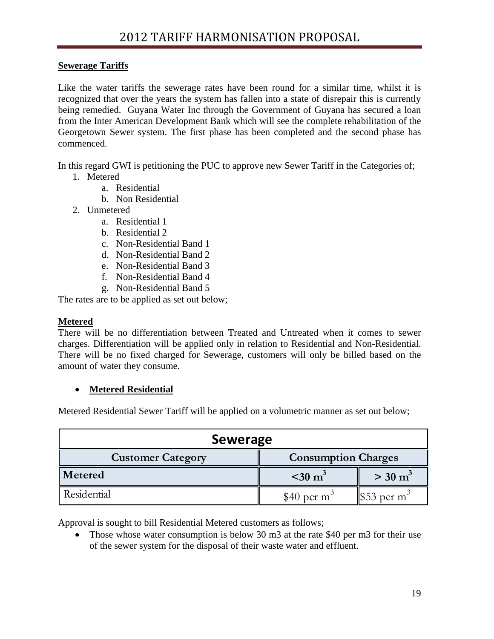### **Sewerage Tariffs**

Like the water tariffs the sewerage rates have been round for a similar time, whilst it is recognized that over the years the system has fallen into a state of disrepair this is currently being remedied. Guyana Water Inc through the Government of Guyana has secured a loan from the Inter American Development Bank which will see the complete rehabilitation of the Georgetown Sewer system. The first phase has been completed and the second phase has commenced.

In this regard GWI is petitioning the PUC to approve new Sewer Tariff in the Categories of;

- 1. Metered
	- a. Residential
	- b. Non Residential
- 2. Unmetered
	- a. Residential 1
	- b. Residential 2
	- c. Non-Residential Band 1
	- d. Non-Residential Band 2
	- e. Non-Residential Band 3
	- f. Non-Residential Band 4
	- g. Non-Residential Band 5

The rates are to be applied as set out below;

#### **Metered**

There will be no differentiation between Treated and Untreated when it comes to sewer charges. Differentiation will be applied only in relation to Residential and Non-Residential. There will be no fixed charged for Sewerage, customers will only be billed based on the amount of water they consume.

### • **Metered Residential**

Metered Residential Sewer Tariff will be applied on a volumetric manner as set out below;

| <b>Sewerage</b>          |                             |                                     |  |
|--------------------------|-----------------------------|-------------------------------------|--|
| <b>Customer Category</b> | <b>Consumption Charges</b>  |                                     |  |
| Metered                  | $\approx$ 30 m <sup>3</sup> | $>$ 30 m <sup>3</sup>               |  |
| Residential              | \$40 per $m3$               | $\frac{1}{3}$ 53 per m <sup>3</sup> |  |

Approval is sought to bill Residential Metered customers as follows;

• Those whose water consumption is below 30 m3 at the rate \$40 per m3 for their use of the sewer system for the disposal of their waste water and effluent.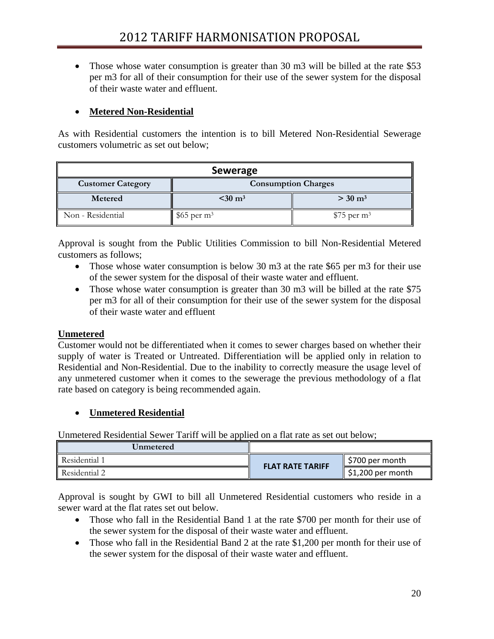• Those whose water consumption is greater than 30 m3 will be billed at the rate \$53 per m3 for all of their consumption for their use of the sewer system for the disposal of their waste water and effluent.

### • **Metered Non-Residential**

As with Residential customers the intention is to bill Metered Non-Residential Sewerage customers volumetric as set out below;

| <b>Sewerage</b>                                        |                          |                          |  |
|--------------------------------------------------------|--------------------------|--------------------------|--|
| <b>Consumption Charges</b><br><b>Customer Category</b> |                          |                          |  |
| Metered                                                | $<$ 30 m <sup>3</sup>    | $>$ 30 m <sup>3</sup>    |  |
| Non - Residential                                      | $$65$ per m <sup>3</sup> | $$75$ per m <sup>3</sup> |  |

Approval is sought from the Public Utilities Commission to bill Non-Residential Metered customers as follows;

- Those whose water consumption is below 30 m3 at the rate \$65 per m3 for their use of the sewer system for the disposal of their waste water and effluent.
- Those whose water consumption is greater than 30 m3 will be billed at the rate \$75 per m3 for all of their consumption for their use of the sewer system for the disposal of their waste water and effluent

### **Unmetered**

Customer would not be differentiated when it comes to sewer charges based on whether their supply of water is Treated or Untreated. Differentiation will be applied only in relation to Residential and Non-Residential. Due to the inability to correctly measure the usage level of any unmetered customer when it comes to the sewerage the previous methodology of a flat rate based on category is being recommended again.

### • **Unmetered Residential**

Unmetered Residential Sewer Tariff will be applied on a flat rate as set out below;

| Unmetered     |                         |                               |
|---------------|-------------------------|-------------------------------|
| Residential 1 |                         | \$700 per month               |
| Residential 2 | <b>FLAT RATE TARIFF</b> | $\parallel$ \$1,200 per month |

Approval is sought by GWI to bill all Unmetered Residential customers who reside in a sewer ward at the flat rates set out below.

- Those who fall in the Residential Band 1 at the rate \$700 per month for their use of the sewer system for the disposal of their waste water and effluent.
- Those who fall in the Residential Band 2 at the rate \$1,200 per month for their use of the sewer system for the disposal of their waste water and effluent.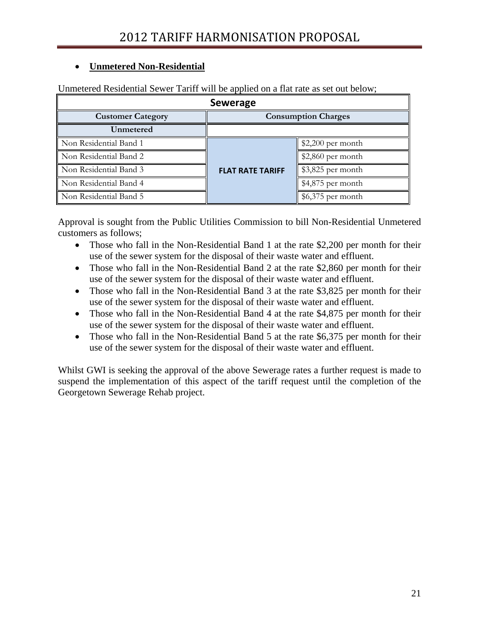### • **Unmetered Non-Residential**

| Unmetered Residential Sewer Tariff will be applied on a flat rate as set out below; |  |  |
|-------------------------------------------------------------------------------------|--|--|

| <b>Sewerage</b>                                        |                         |                    |  |  |
|--------------------------------------------------------|-------------------------|--------------------|--|--|
| <b>Customer Category</b><br><b>Consumption Charges</b> |                         |                    |  |  |
| Unmetered                                              |                         |                    |  |  |
| Non Residential Band 1                                 |                         | $$2,200$ per month |  |  |
| Non Residential Band 2                                 | <b>FLAT RATE TARIFF</b> | $$2,860$ per month |  |  |
| Non Residential Band 3                                 |                         | $$3,825$ per month |  |  |
| Non Residential Band 4                                 |                         | \$4,875 per month  |  |  |
| Non Residential Band 5                                 |                         | $$6,375$ per month |  |  |

Approval is sought from the Public Utilities Commission to bill Non-Residential Unmetered customers as follows;

- Those who fall in the Non-Residential Band 1 at the rate \$2,200 per month for their use of the sewer system for the disposal of their waste water and effluent.
- Those who fall in the Non-Residential Band 2 at the rate \$2,860 per month for their use of the sewer system for the disposal of their waste water and effluent.
- Those who fall in the Non-Residential Band 3 at the rate \$3,825 per month for their use of the sewer system for the disposal of their waste water and effluent.
- Those who fall in the Non-Residential Band 4 at the rate \$4,875 per month for their use of the sewer system for the disposal of their waste water and effluent.
- Those who fall in the Non-Residential Band 5 at the rate \$6,375 per month for their use of the sewer system for the disposal of their waste water and effluent.

Whilst GWI is seeking the approval of the above Sewerage rates a further request is made to suspend the implementation of this aspect of the tariff request until the completion of the Georgetown Sewerage Rehab project.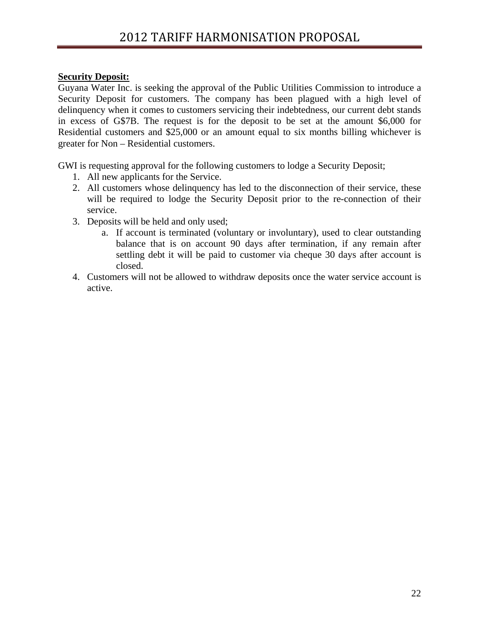### **Security Deposit:**

Guyana Water Inc. is seeking the approval of the Public Utilities Commission to introduce a Security Deposit for customers. The company has been plagued with a high level of delinquency when it comes to customers servicing their indebtedness, our current debt stands in excess of G\$7B. The request is for the deposit to be set at the amount \$6,000 for Residential customers and \$25,000 or an amount equal to six months billing whichever is greater for Non – Residential customers.

GWI is requesting approval for the following customers to lodge a Security Deposit;

- 1. All new applicants for the Service.
- 2. All customers whose delinquency has led to the disconnection of their service, these will be required to lodge the Security Deposit prior to the re-connection of their service.
- 3. Deposits will be held and only used;
	- a. If account is terminated (voluntary or involuntary), used to clear outstanding balance that is on account 90 days after termination, if any remain after settling debt it will be paid to customer via cheque 30 days after account is closed.
- 4. Customers will not be allowed to withdraw deposits once the water service account is active.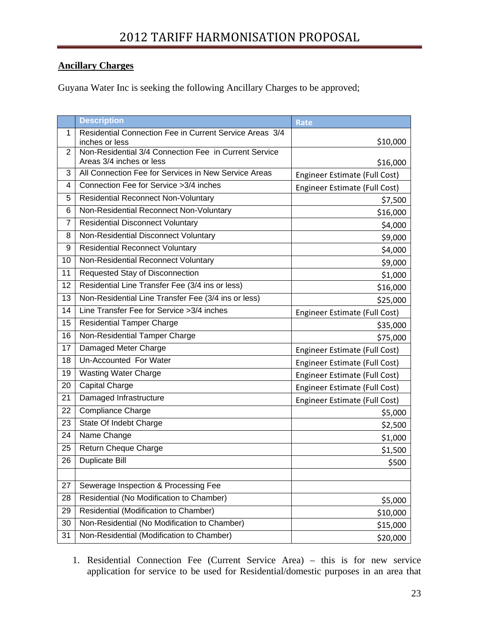### **Ancillary Charges**

Guyana Water Inc is seeking the following Ancillary Charges to be approved;

|                | <b>Description</b>                                                      | <b>Rate</b>                   |
|----------------|-------------------------------------------------------------------------|-------------------------------|
| 1              | Residential Connection Fee in Current Service Areas 3/4                 |                               |
| 2              | inches or less<br>Non-Residential 3/4 Connection Fee in Current Service | \$10,000                      |
|                | Areas 3/4 inches or less                                                | \$16,000                      |
| 3              | All Connection Fee for Services in New Service Areas                    | Engineer Estimate (Full Cost) |
| 4              | Connection Fee for Service > 3/4 inches                                 | Engineer Estimate (Full Cost) |
| 5              | <b>Residential Reconnect Non-Voluntary</b>                              | \$7,500                       |
| 6              | Non-Residential Reconnect Non-Voluntary                                 | \$16,000                      |
| $\overline{7}$ | <b>Residential Disconnect Voluntary</b>                                 | \$4,000                       |
| 8              | Non-Residential Disconnect Voluntary                                    | \$9,000                       |
| 9              | <b>Residential Reconnect Voluntary</b>                                  | \$4,000                       |
| 10             | Non-Residential Reconnect Voluntary                                     | \$9,000                       |
| 11             | Requested Stay of Disconnection                                         | \$1,000                       |
| 12             | Residential Line Transfer Fee (3/4 ins or less)                         | \$16,000                      |
| 13             | Non-Residential Line Transfer Fee (3/4 ins or less)                     | \$25,000                      |
| 14             | Line Transfer Fee for Service > 3/4 inches                              | Engineer Estimate (Full Cost) |
| 15             | <b>Residential Tamper Charge</b>                                        | \$35,000                      |
| 16             | Non-Residential Tamper Charge                                           | \$75,000                      |
| 17             | Damaged Meter Charge                                                    | Engineer Estimate (Full Cost) |
| 18             | Un-Accounted For Water                                                  | Engineer Estimate (Full Cost) |
| 19             | <b>Wasting Water Charge</b>                                             | Engineer Estimate (Full Cost) |
| 20             | <b>Capital Charge</b>                                                   | Engineer Estimate (Full Cost) |
| 21             | Damaged Infrastructure                                                  | Engineer Estimate (Full Cost) |
| 22             | <b>Compliance Charge</b>                                                | \$5,000                       |
| 23             | State Of Indebt Charge                                                  | \$2,500                       |
| 24             | Name Change                                                             | \$1,000                       |
| 25             | Return Cheque Charge                                                    | \$1,500                       |
| 26             | <b>Duplicate Bill</b>                                                   | \$500                         |
|                |                                                                         |                               |
| 27             | Sewerage Inspection & Processing Fee                                    |                               |
| 28             | Residential (No Modification to Chamber)                                | \$5,000                       |
| 29             | Residential (Modification to Chamber)                                   | \$10,000                      |
| 30             | Non-Residential (No Modification to Chamber)                            | \$15,000                      |
| 31             | Non-Residential (Modification to Chamber)                               | \$20,000                      |

1. Residential Connection Fee (Current Service Area) – this is for new service application for service to be used for Residential/domestic purposes in an area that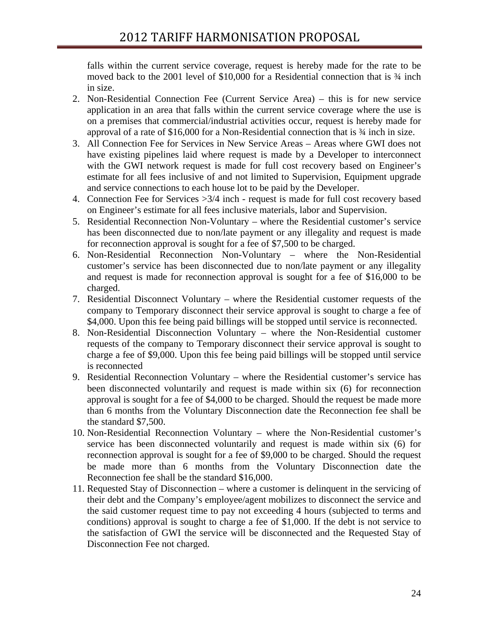falls within the current service coverage, request is hereby made for the rate to be moved back to the 2001 level of \$10,000 for a Residential connection that is ¾ inch in size.

- 2. Non-Residential Connection Fee (Current Service Area) this is for new service application in an area that falls within the current service coverage where the use is on a premises that commercial/industrial activities occur, request is hereby made for approval of a rate of \$16,000 for a Non-Residential connection that is ¾ inch in size.
- 3. All Connection Fee for Services in New Service Areas Areas where GWI does not have existing pipelines laid where request is made by a Developer to interconnect with the GWI network request is made for full cost recovery based on Engineer's estimate for all fees inclusive of and not limited to Supervision, Equipment upgrade and service connections to each house lot to be paid by the Developer.
- 4. Connection Fee for Services >3/4 inch request is made for full cost recovery based on Engineer's estimate for all fees inclusive materials, labor and Supervision.
- 5. Residential Reconnection Non-Voluntary where the Residential customer's service has been disconnected due to non/late payment or any illegality and request is made for reconnection approval is sought for a fee of \$7,500 to be charged.
- 6. Non-Residential Reconnection Non-Voluntary where the Non-Residential customer's service has been disconnected due to non/late payment or any illegality and request is made for reconnection approval is sought for a fee of \$16,000 to be charged.
- 7. Residential Disconnect Voluntary where the Residential customer requests of the company to Temporary disconnect their service approval is sought to charge a fee of \$4,000. Upon this fee being paid billings will be stopped until service is reconnected.
- 8. Non-Residential Disconnection Voluntary where the Non-Residential customer requests of the company to Temporary disconnect their service approval is sought to charge a fee of \$9,000. Upon this fee being paid billings will be stopped until service is reconnected
- 9. Residential Reconnection Voluntary where the Residential customer's service has been disconnected voluntarily and request is made within six (6) for reconnection approval is sought for a fee of \$4,000 to be charged. Should the request be made more than 6 months from the Voluntary Disconnection date the Reconnection fee shall be the standard \$7,500.
- 10. Non-Residential Reconnection Voluntary where the Non-Residential customer's service has been disconnected voluntarily and request is made within six (6) for reconnection approval is sought for a fee of \$9,000 to be charged. Should the request be made more than 6 months from the Voluntary Disconnection date the Reconnection fee shall be the standard \$16,000.
- 11. Requested Stay of Disconnection where a customer is delinquent in the servicing of their debt and the Company's employee/agent mobilizes to disconnect the service and the said customer request time to pay not exceeding 4 hours (subjected to terms and conditions) approval is sought to charge a fee of \$1,000. If the debt is not service to the satisfaction of GWI the service will be disconnected and the Requested Stay of Disconnection Fee not charged.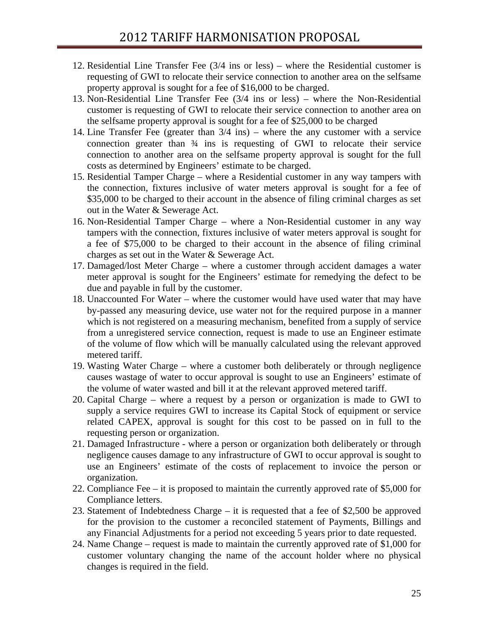- 12. Residential Line Transfer Fee (3/4 ins or less) where the Residential customer is requesting of GWI to relocate their service connection to another area on the selfsame property approval is sought for a fee of \$16,000 to be charged.
- 13. Non-Residential Line Transfer Fee (3/4 ins or less) where the Non-Residential customer is requesting of GWI to relocate their service connection to another area on the selfsame property approval is sought for a fee of \$25,000 to be charged
- 14. Line Transfer Fee (greater than 3/4 ins) where the any customer with a service connection greater than ¾ ins is requesting of GWI to relocate their service connection to another area on the selfsame property approval is sought for the full costs as determined by Engineers' estimate to be charged.
- 15. Residential Tamper Charge where a Residential customer in any way tampers with the connection, fixtures inclusive of water meters approval is sought for a fee of \$35,000 to be charged to their account in the absence of filing criminal charges as set out in the Water & Sewerage Act.
- 16. Non-Residential Tamper Charge where a Non-Residential customer in any way tampers with the connection, fixtures inclusive of water meters approval is sought for a fee of \$75,000 to be charged to their account in the absence of filing criminal charges as set out in the Water & Sewerage Act.
- 17. Damaged/lost Meter Charge where a customer through accident damages a water meter approval is sought for the Engineers' estimate for remedying the defect to be due and payable in full by the customer.
- 18. Unaccounted For Water where the customer would have used water that may have by-passed any measuring device, use water not for the required purpose in a manner which is not registered on a measuring mechanism, benefited from a supply of service from a unregistered service connection, request is made to use an Engineer estimate of the volume of flow which will be manually calculated using the relevant approved metered tariff.
- 19. Wasting Water Charge where a customer both deliberately or through negligence causes wastage of water to occur approval is sought to use an Engineers' estimate of the volume of water wasted and bill it at the relevant approved metered tariff.
- 20. Capital Charge where a request by a person or organization is made to GWI to supply a service requires GWI to increase its Capital Stock of equipment or service related CAPEX, approval is sought for this cost to be passed on in full to the requesting person or organization.
- 21. Damaged Infrastructure where a person or organization both deliberately or through negligence causes damage to any infrastructure of GWI to occur approval is sought to use an Engineers' estimate of the costs of replacement to invoice the person or organization.
- 22. Compliance Fee it is proposed to maintain the currently approved rate of \$5,000 for Compliance letters.
- 23. Statement of Indebtedness Charge it is requested that a fee of \$2,500 be approved for the provision to the customer a reconciled statement of Payments, Billings and any Financial Adjustments for a period not exceeding 5 years prior to date requested.
- 24. Name Change request is made to maintain the currently approved rate of \$1,000 for customer voluntary changing the name of the account holder where no physical changes is required in the field.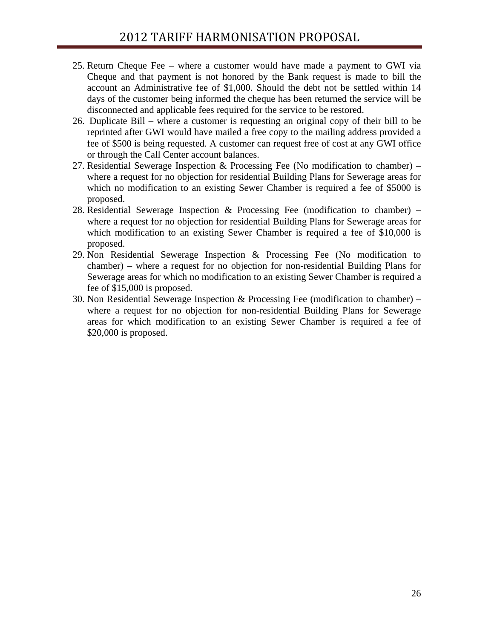- 25. Return Cheque Fee where a customer would have made a payment to GWI via Cheque and that payment is not honored by the Bank request is made to bill the account an Administrative fee of \$1,000. Should the debt not be settled within 14 days of the customer being informed the cheque has been returned the service will be disconnected and applicable fees required for the service to be restored.
- 26. Duplicate Bill where a customer is requesting an original copy of their bill to be reprinted after GWI would have mailed a free copy to the mailing address provided a fee of \$500 is being requested. A customer can request free of cost at any GWI office or through the Call Center account balances.
- 27. Residential Sewerage Inspection & Processing Fee (No modification to chamber) where a request for no objection for residential Building Plans for Sewerage areas for which no modification to an existing Sewer Chamber is required a fee of \$5000 is proposed.
- 28. Residential Sewerage Inspection & Processing Fee (modification to chamber) where a request for no objection for residential Building Plans for Sewerage areas for which modification to an existing Sewer Chamber is required a fee of \$10,000 is proposed.
- 29. Non Residential Sewerage Inspection & Processing Fee (No modification to chamber) – where a request for no objection for non-residential Building Plans for Sewerage areas for which no modification to an existing Sewer Chamber is required a fee of \$15,000 is proposed.
- 30. Non Residential Sewerage Inspection & Processing Fee (modification to chamber) where a request for no objection for non-residential Building Plans for Sewerage areas for which modification to an existing Sewer Chamber is required a fee of \$20,000 is proposed.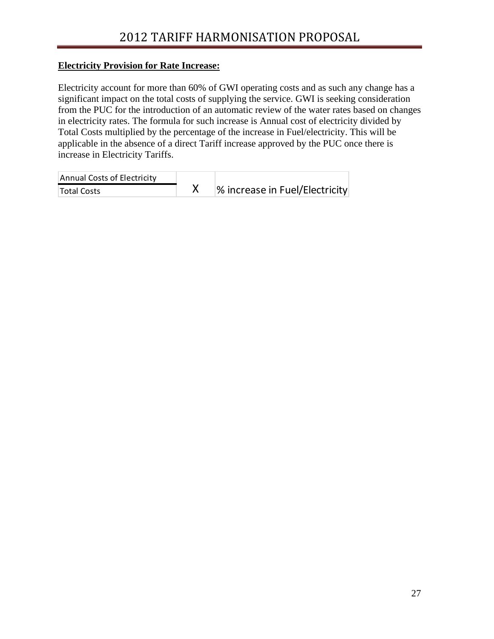### **Electricity Provision for Rate Increase:**

Electricity account for more than 60% of GWI operating costs and as such any change has a significant impact on the total costs of supplying the service. GWI is seeking consideration from the PUC for the introduction of an automatic review of the water rates based on changes in electricity rates. The formula for such increase is Annual cost of electricity divided by Total Costs multiplied by the percentage of the increase in Fuel/electricity. This will be applicable in the absence of a direct Tariff increase approved by the PUC once there is increase in Electricity Tariffs.

| Annual Costs of Electricity |                                |
|-----------------------------|--------------------------------|
| Total Costs                 | % increase in Fuel/Electricity |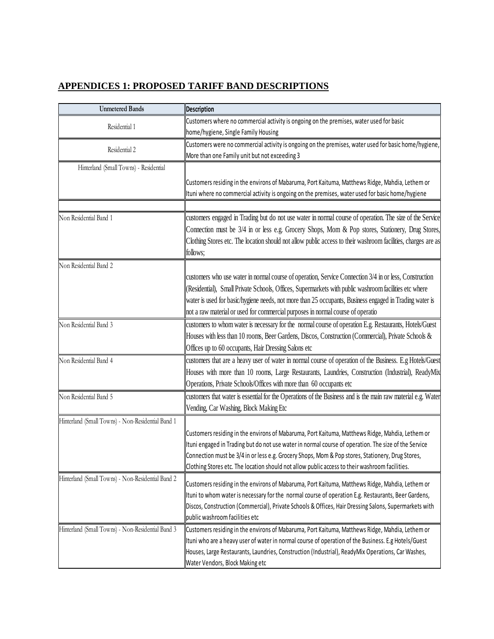## **APPENDICES 1: PROPOSED TARIFF BAND DESCRIPTIONS**

| <b>Unmetered Bands</b>                            | <b>Description</b>                                                                                                                                                                                       |
|---------------------------------------------------|----------------------------------------------------------------------------------------------------------------------------------------------------------------------------------------------------------|
|                                                   | Customers where no commercial activity is ongoing on the premises, water used for basic                                                                                                                  |
| Residential 1                                     | home/hygiene, Single Family Housing                                                                                                                                                                      |
|                                                   | Customers were no commercial activity is ongoing on the premises, water used for basic home/hygiene,                                                                                                     |
| Residential 2                                     | More than one Family unit but not exceeding 3                                                                                                                                                            |
| Hinterland (Small Towns) - Residential            |                                                                                                                                                                                                          |
|                                                   | Customers residing in the environs of Mabaruma, Port Kaituma, Matthews Ridge, Mahdia, Lethem or                                                                                                          |
|                                                   | Ituni where no commercial activity is ongoing on the premises, water used for basic home/hygiene                                                                                                         |
|                                                   |                                                                                                                                                                                                          |
| Non Residential Band 1                            | customers engaged in Trading but do not use water in normal course of operation. The size of the Service                                                                                                 |
|                                                   | Connection must be 3/4 in or less e.g. Grocery Shops, Mom & Pop stores, Stationery, Drug Stores,                                                                                                         |
|                                                   | Clothing Stores etc. The location should not allow public access to their washroom facilities, charges are as                                                                                            |
|                                                   | follows;                                                                                                                                                                                                 |
| Non Residential Band 2                            |                                                                                                                                                                                                          |
|                                                   | customers who use water in normal course of operation, Service Connection 3/4 in or less, Construction                                                                                                   |
|                                                   | (Residential), Small Private Schools, Offices, Supermarkets with public washroom facilities etc where                                                                                                    |
|                                                   | water is used for basic/hygiene needs, not more than 25 occupants, Business engaged in Trading water is                                                                                                  |
|                                                   | not a raw material or used for commercial purposes in normal course of operatio                                                                                                                          |
| Non Residential Band 3                            | customers to whom water is necessary for the normal course of operation E.g. Restaurants, Hotels/Guest                                                                                                   |
|                                                   | Houses with less than 10 rooms, Beer Gardens, Discos, Construction (Commercial), Private Schools &                                                                                                       |
|                                                   | Offices up to 60 occupants, Hair Dressing Salons etc                                                                                                                                                     |
| Non Residential Band 4                            | customers that are a heavy user of water in normal course of operation of the Business. E.g Hotels/Guest                                                                                                 |
|                                                   | Houses with more than 10 rooms, Large Restaurants, Laundries, Construction (Industrial), ReadyMix                                                                                                        |
|                                                   | Operations, Private Schools/Offices with more than 60 occupants etc                                                                                                                                      |
| Non Residential Band 5                            | customers that water is essential for the Operations of the Business and is the main raw material e.g. Water                                                                                             |
|                                                   | Vending, Car Washing, Block Making Etc                                                                                                                                                                   |
|                                                   |                                                                                                                                                                                                          |
| Hinterland (Small Towns) - Non-Residential Band 1 |                                                                                                                                                                                                          |
|                                                   | Customers residing in the environs of Mabaruma, Port Kaituma, Matthews Ridge, Mahdia, Lethem or                                                                                                          |
|                                                   | Ituni engaged in Trading but do not use water in normal course of operation. The size of the Service<br>Connection must be 3/4 in or less e.g. Grocery Shops, Mom & Pop stores, Stationery, Drug Stores, |
|                                                   | Clothing Stores etc. The location should not allow public access to their washroom facilities.                                                                                                           |
| Hinterland (Small Towns) - Non-Residential Band 2 |                                                                                                                                                                                                          |
|                                                   | Customers residing in the environs of Mabaruma, Port Kaituma, Matthews Ridge, Mahdia, Lethem or                                                                                                          |
|                                                   | Ituni to whom water is necessary for the normal course of operation E.g. Restaurants, Beer Gardens,                                                                                                      |
|                                                   | Discos, Construction (Commercial), Private Schools & Offices, Hair Dressing Salons, Supermarkets with                                                                                                    |
|                                                   | public washroom facilities etc                                                                                                                                                                           |
| Hinterland (Small Towns) - Non-Residential Band 3 | Customers residing in the environs of Mabaruma, Port Kaituma, Matthews Ridge, Mahdia, Lethem or                                                                                                          |
|                                                   | Ituni who are a heavy user of water in normal course of operation of the Business. E.g Hotels/Guest                                                                                                      |
|                                                   | Houses, Large Restaurants, Laundries, Construction (Industrial), ReadyMix Operations, Car Washes,                                                                                                        |
|                                                   | Water Vendors, Block Making etc                                                                                                                                                                          |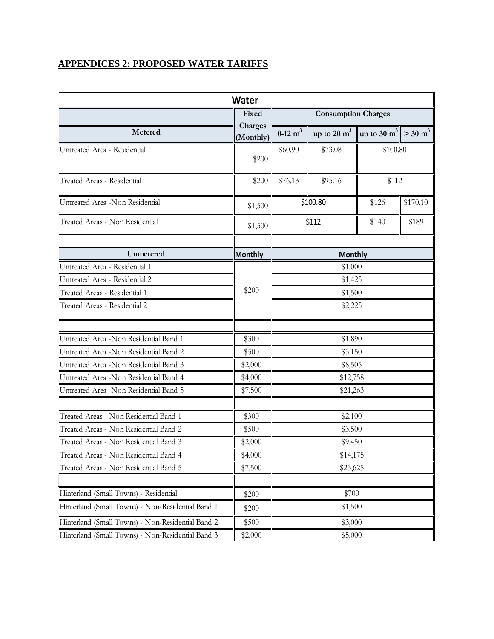### **APPENDICES 2: PROPOSED WATER TARIFFS**

| <b>Water</b>                                      |                      |                            |                                                                         |          |          |
|---------------------------------------------------|----------------------|----------------------------|-------------------------------------------------------------------------|----------|----------|
|                                                   | Fixed                | <b>Consumption Charges</b> |                                                                         |          |          |
| Metered                                           | Charges<br>(Monthly) | $0-12$ m <sup>3</sup>      | up to 20 m <sup>3</sup>   up to 30 m <sup>3</sup>   > 30 m <sup>3</sup> |          |          |
| Untreated Area - Residential                      | \$200                | \$60.90                    | \$73.08                                                                 | \$100.80 |          |
| Treated Areas - Residential                       | \$200                | \$76.13                    | \$95.16                                                                 | \$112    |          |
| Untreated Area -Non Residential                   | \$1,500              |                            | \$100.80                                                                | \$126    | \$170.10 |
| Treated Areas - Non Residential                   | \$1,500              |                            | \$112                                                                   | \$140    | \$189    |
| Unmetered                                         | <b>Monthly</b>       |                            | <b>Monthly</b>                                                          |          |          |
| Untreated Area - Residential 1                    |                      |                            | \$1,000                                                                 |          |          |
| Untreated Area - Residential 2                    |                      |                            | \$1,425                                                                 |          |          |
| Treated Areas - Residential 1                     | \$200                | \$1,500                    |                                                                         |          |          |
| Treated Areas - Residential 2                     |                      | \$2,225                    |                                                                         |          |          |
|                                                   |                      |                            |                                                                         |          |          |
| Untreated Area -Non Residential Band 1            | \$300                | \$1,890                    |                                                                         |          |          |
| Untreated Area -Non Residential Band 2            | \$500                | \$3,150                    |                                                                         |          |          |
| Untreated Area -Non Residential Band 3            | \$2,000              | \$8,505                    |                                                                         |          |          |
| Untreated Area -Non Residential Band 4            | \$4,000              | \$12,758                   |                                                                         |          |          |
| Untreated Area -Non Residential Band 5            | \$7,500              | \$21,263                   |                                                                         |          |          |
| Treated Areas - Non Residential Band 1            | \$300                |                            | \$2,100                                                                 |          |          |
| Treated Areas - Non Residential Band 2            | \$500                |                            | \$3,500                                                                 |          |          |
| Treated Areas - Non Residential Band 3            | \$2,000              | \$9,450                    |                                                                         |          |          |
| Treated Areas - Non Residential Band 4            | \$4,000              | \$14,175                   |                                                                         |          |          |
| Treated Areas - Non Residential Band 5            | \$7,500              | \$23,625                   |                                                                         |          |          |
| Hinterland (Small Towns) - Residential            | \$200                |                            | \$700                                                                   |          |          |
| Hinterland (Small Towns) - Non-Residential Band 1 | \$200                |                            | \$1,500                                                                 |          |          |
| Hinterland (Small Towns) - Non-Residential Band 2 | \$500                | \$3,000                    |                                                                         |          |          |
| Hinterland (Small Towns) - Non-Residential Band 3 | \$2,000              | \$5,000                    |                                                                         |          |          |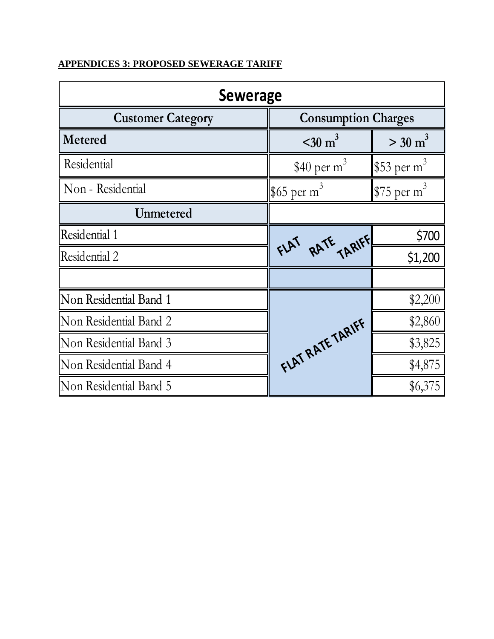# **APPENDICES 3: PROPOSED SEWERAGE TARIFF**

| <b>Sewerage</b>          |                                         |                       |  |  |
|--------------------------|-----------------------------------------|-----------------------|--|--|
| <b>Customer Category</b> | <b>Consumption Charges</b>              |                       |  |  |
| Metered                  | $\approx$ 30 m <sup>3</sup>             | $>$ 30 m <sup>3</sup> |  |  |
| Residential              | \$40 per $m^3$                          | $ $ \$53 per m $^3$   |  |  |
| Non - Residential        | \$65 per m <sup>3</sup>                 | $$75 \text{ per m}^3$ |  |  |
| <b>Unmetered</b>         |                                         |                       |  |  |
| Residential 1            |                                         | \$700                 |  |  |
| Residential 2            | FLAT RATE TARIFF                        | \$1,200               |  |  |
|                          |                                         |                       |  |  |
| Non Residential Band 1   |                                         | \$2,200               |  |  |
| Non Residential Band 2   | \$2,860<br>FLAT RATE TARIFF,<br>\$3,825 |                       |  |  |
| Non Residential Band 3   |                                         |                       |  |  |
| Non Residential Band 4   |                                         | \$4,875               |  |  |
| Non Residential Band 5   |                                         | \$6,375               |  |  |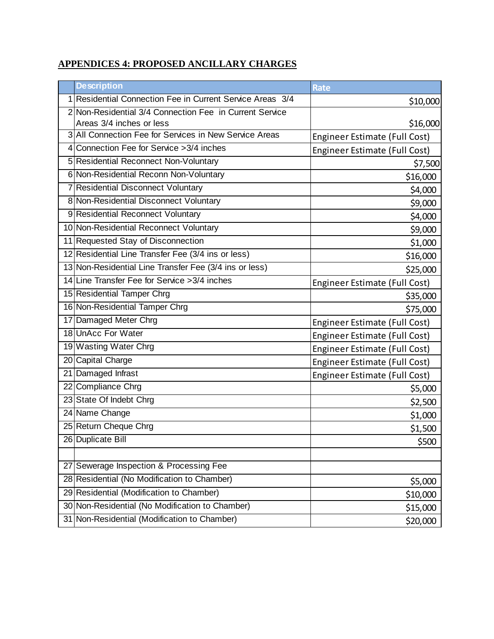## **APPENDICES 4: PROPOSED ANCILLARY CHARGES**

|   | <b>Description</b>                                      | <b>Rate</b>                          |
|---|---------------------------------------------------------|--------------------------------------|
| 1 | Residential Connection Fee in Current Service Areas 3/4 | \$10,000                             |
|   | 2 Non-Residential 3/4 Connection Fee in Current Service |                                      |
|   | Areas 3/4 inches or less                                | \$16,000                             |
|   | 3 All Connection Fee for Services in New Service Areas  | Engineer Estimate (Full Cost)        |
|   | 4 Connection Fee for Service > 3/4 inches               | Engineer Estimate (Full Cost)        |
|   | 5 Residential Reconnect Non-Voluntary                   | \$7,500                              |
|   | 6 Non-Residential Reconn Non-Voluntary                  | \$16,000                             |
|   | 7 Residential Disconnect Voluntary                      | \$4,000                              |
|   | 8 Non-Residential Disconnect Voluntary                  | \$9,000                              |
|   | 9 Residential Reconnect Voluntary                       | \$4,000                              |
|   | 10 Non-Residential Reconnect Voluntary                  | \$9,000                              |
|   | 11 Requested Stay of Disconnection                      | \$1,000                              |
|   | 12 Residential Line Transfer Fee (3/4 ins or less)      | \$16,000                             |
|   | 13 Non-Residential Line Transfer Fee (3/4 ins or less)  | \$25,000                             |
|   | 14 Line Transfer Fee for Service > 3/4 inches           | Engineer Estimate (Full Cost)        |
|   | 15 Residential Tamper Chrg                              | \$35,000                             |
|   | 16 Non-Residential Tamper Chrg                          | \$75,000                             |
|   | 17 Damaged Meter Chrg                                   | Engineer Estimate (Full Cost)        |
|   | 18 UnAcc For Water                                      | Engineer Estimate (Full Cost)        |
|   | 19 Wasting Water Chrg                                   | Engineer Estimate (Full Cost)        |
|   | 20 Capital Charge                                       | Engineer Estimate (Full Cost)        |
|   | 21 Damaged Infrast                                      | <b>Engineer Estimate (Full Cost)</b> |
|   | 22 Compliance Chrg                                      | \$5,000                              |
|   | 23 State Of Indebt Chrg                                 | \$2,500                              |
|   | 24 Name Change                                          | \$1,000                              |
|   | 25 Return Cheque Chrg                                   | \$1,500                              |
|   | 26 Duplicate Bill                                       | \$500                                |
|   |                                                         |                                      |
|   | 27 Sewerage Inspection & Processing Fee                 |                                      |
|   | 28 Residential (No Modification to Chamber)             | \$5,000                              |
|   | 29 Residential (Modification to Chamber)                | \$10,000                             |
|   | 30 Non-Residential (No Modification to Chamber)         | \$15,000                             |
|   | 31 Non-Residential (Modification to Chamber)            | \$20,000                             |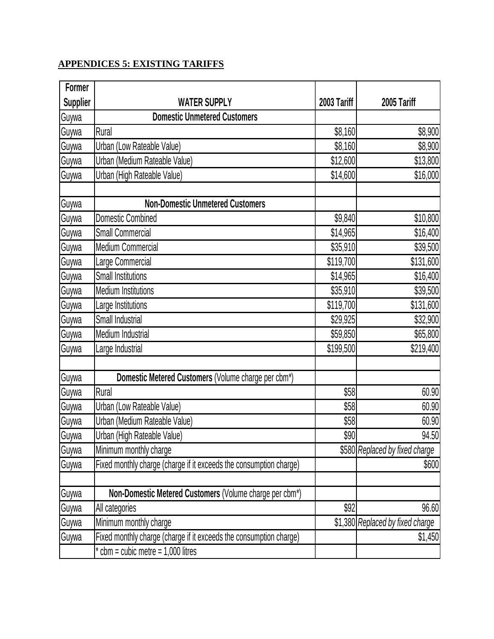# **APPENDICES 5: EXISTING TARIFFS**

| <b>Former</b>   |                                                                    |             |                                  |
|-----------------|--------------------------------------------------------------------|-------------|----------------------------------|
| <b>Supplier</b> | <b>WATER SUPPLY</b>                                                | 2003 Tariff | 2005 Tariff                      |
| Guywa           | <b>Domestic Unmetered Customers</b>                                |             |                                  |
| Guywa           | Rural                                                              | \$8,160     | \$8,900                          |
| Guywa           | Urban (Low Rateable Value)                                         | \$8,160     | \$8,900                          |
| Guywa           | Urban (Medium Rateable Value)                                      | \$12,600    | \$13,800                         |
| Guywa           | Urban (High Rateable Value)                                        | \$14,600    | \$16,000                         |
|                 |                                                                    |             |                                  |
| Guywa           | <b>Non-Domestic Unmetered Customers</b>                            |             |                                  |
| Guywa           | <b>Domestic Combined</b>                                           | \$9,840     | \$10,800                         |
| Guywa           | <b>Small Commercial</b>                                            | \$14,965    | \$16,400                         |
| Guywa           | Medium Commercial                                                  | \$35,910    | \$39,500                         |
| Guywa           | Large Commercial                                                   | \$119,700   | \$131,600                        |
| Guywa           | <b>Small Institutions</b>                                          | \$14,965    | \$16,400                         |
| Guywa           | <b>Medium Institutions</b>                                         | \$35,910    | \$39,500                         |
| Guywa           | Large Institutions                                                 | \$119,700   | \$131,600                        |
| Guywa           | Small Industrial                                                   | \$29,925    | \$32,900                         |
| Guywa           | Medium Industrial                                                  | \$59,850    | \$65,800                         |
| Guywa           | Large Industrial                                                   | \$199,500   | \$219,400                        |
|                 |                                                                    |             |                                  |
| Guywa           | Domestic Metered Customers (Volume charge per cbm*)                |             |                                  |
| Guywa           | Rural                                                              | \$58        | 60.90                            |
| Guywa           | Urban (Low Rateable Value)                                         | \$58        | 60.90                            |
| Guywa           | Urban (Medium Rateable Value)                                      | \$58        | 60.90                            |
| Guywa           | Urban (High Rateable Value)                                        | \$90        | 94.50                            |
| Guywa           | Minimum monthly charge                                             |             | \$580 Replaced by fixed charge   |
| Guywa           | Fixed monthly charge (charge if it exceeds the consumption charge) |             | \$600                            |
|                 |                                                                    |             |                                  |
| Guywa           | Non-Domestic Metered Customers (Volume charge per cbm*)            |             |                                  |
| Guywa           | All categories                                                     | \$92        | 96.60                            |
| Guywa           | Minimum monthly charge                                             |             | \$1,380 Replaced by fixed charge |
| Guywa           | Fixed monthly charge (charge if it exceeds the consumption charge) |             | \$1,450                          |
|                 | $cbm = cubic$ metre = 1,000 litres                                 |             |                                  |